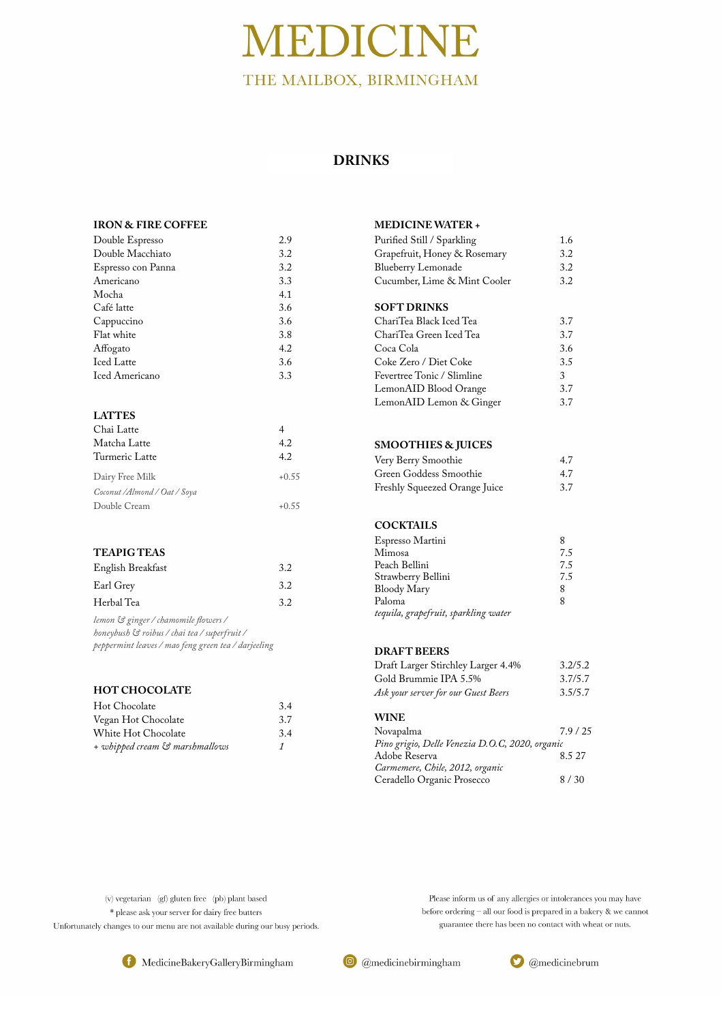#### **IRON & FIRE COFFEE**

| Double Espresso       | 2.9 |
|-----------------------|-----|
| Double Macchiato      | 3.2 |
| Espresso con Panna    | 3.2 |
| Americano             | 3.3 |
| Mocha                 | 4.1 |
| Café latte            | 3.6 |
| Cappuccino            | 3.6 |
| Flat white            | 3.8 |
| Affogato              | 4.2 |
| <b>Iced Latte</b>     | 3.6 |
| <b>Iced Americano</b> | 3.3 |

#### **LATTES**

| Chai Latte                    |         |
|-------------------------------|---------|
| Matcha Latte                  | 4.2     |
| Turmeric Latte                | 4.2     |
| Dairy Free Milk               | $+0.55$ |
| Coconut / Almond / Oat / Soya |         |
| Double Cream                  | $+0.55$ |

#### **TEAPIG TEAS**

| English Breakfast | 3.2 |
|-------------------|-----|
| Earl Grey         | 3.2 |
| Herbal Tea        | 3.2 |

| Purified Still / Sparkling<br>Grapefruit, Honey & Rosemary<br><b>Blueberry Lemonade</b><br>Cucumber, Lime & Mint Cooler | 1.6<br>3.2<br>3.2<br>3.2 |
|-------------------------------------------------------------------------------------------------------------------------|--------------------------|
| <b>SOFT DRINKS</b>                                                                                                      |                          |
| ChariTea Black Iced Tea                                                                                                 | 3.7                      |
| ChariTea Green Iced Tea                                                                                                 | 3.7                      |

*lemon & ginger / chamomile fowers / honeybush & roibus / chai tea / superfruit / peppermint leaves / mao feng green tea / darjeeling* 

#### **HOT CHOCOLATE**

| Hot Chocolate                  | 3.4 |
|--------------------------------|-----|
| Vegan Hot Chocolate            | 3.7 |
| White Hot Chocolate            | 3.4 |
| + whipped cream & marshmallows |     |

#### **MEDICINE WATER +**

| Unafi lea Ufeen Iceu Tea   | .3.7          |
|----------------------------|---------------|
| Coca Cola                  | 3.6           |
| Coke Zero / Diet Coke      | 3.5           |
| Fevertree Tonic / Slimline | $\mathcal{R}$ |
| LemonAID Blood Orange      | 3.7           |
| LemonAID Lemon & Ginger    | 3.7           |

#### **SMOOTHIES & JUICES**

| Very Berry Smoothie           | 4.7 |
|-------------------------------|-----|
| Green Goddess Smoothie        | 4.7 |
| Freshly Squeezed Orange Juice | 3.7 |

#### **COCKTAILS**

| Espresso Martini                     |     |
|--------------------------------------|-----|
| Mimosa                               | 7.5 |
| Peach Bellini                        | 7.5 |
| Strawberry Bellini                   | 7.5 |
| Bloody Mary                          | 8   |
| Paloma                               | 8   |
| tequila, grapefruit, sparkling water |     |

#### **DRAFT BEERS**

| Draft Larger Stirchley Larger 4.4%  | 3.2/5.2 |
|-------------------------------------|---------|
| Gold Brummie IPA 5.5%               | 3.7/5.7 |
| Ask your server for our Guest Beers | 3.5/5.7 |

#### **WINE**

| Novapalma                                       | 7.9/25 |
|-------------------------------------------------|--------|
| Pino grigio, Delle Venezia D.O.C, 2020, organic |        |
| Adobe Reserva                                   | 8.5 27 |
| Carmemere, Chile, 2012, organic                 |        |

Ceradello Organic Prosecco 8 / 30

(v) vegetarian (gf) gluten free (pb) plant based \* please ask your server for dairy free butters Unfortunately changes to our menu are not available during our busy periods.

Please inform us of any allergies or intolerances you may have before ordering - all our food is prepared in a bakery & we cannot guarantee there has been no contact with wheat or nuts.







## MEDICINE THE MAILBOX, BIRMINGHAM

## **DRINKS**